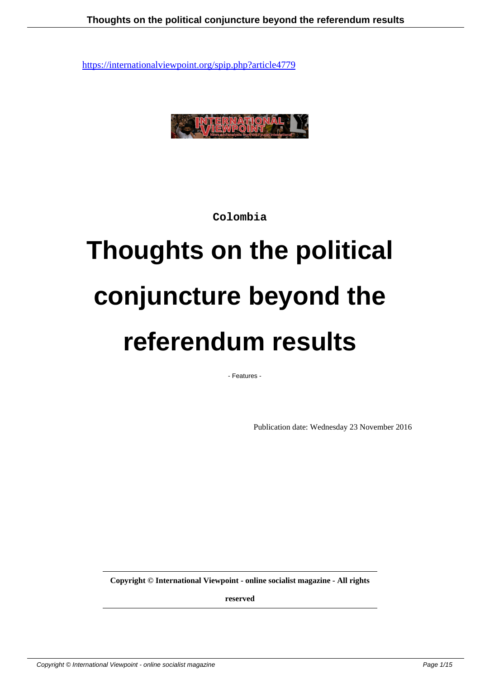

**Colombia**

# **Thoughts on the political conjuncture beyond the referendum results**

- Features -

Publication date: Wednesday 23 November 2016

**Copyright © International Viewpoint - online socialist magazine - All rights**

**reserved**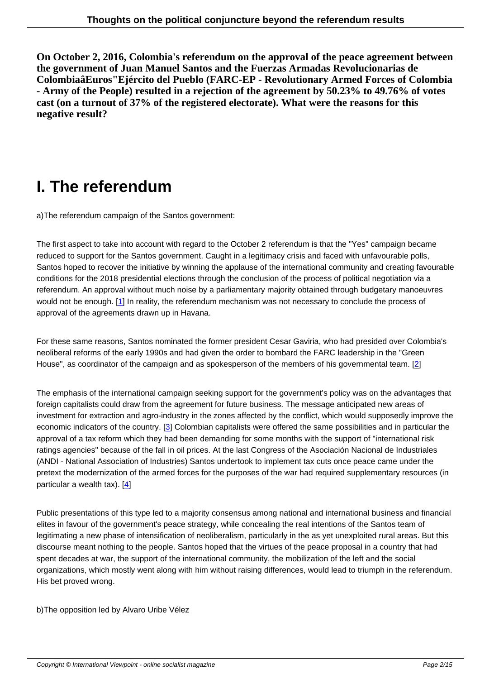**On October 2, 2016, Colombia's referendum on the approval of the peace agreement between the government of Juan Manuel Santos and the Fuerzas Armadas Revolucionarias de ColombiaâEuros"Ejército del Pueblo (FARC-EP - Revolutionary Armed Forces of Colombia - Army of the People) resulted in a rejection of the agreement by 50.23% to 49.76% of votes cast (on a turnout of 37% of the registered electorate). What were the reasons for this negative result?**

## **I. The referendum**

a) The referendum campaign of the Santos government:

The first aspect to take into account with regard to the October 2 referendum is that the "Yes" campaign became reduced to support for the Santos government. Caught in a legitimacy crisis and faced with unfavourable polls, Santos hoped to recover the initiative by winning the applause of the international community and creating favourable conditions for the 2018 presidential elections through the conclusion of the process of political negotiation via a referendum. An approval without much noise by a parliamentary majority obtained through budgetary manoeuvres would not be enough. [1] In reality, the referendum mechanism was not necessary to conclude the process of approval of the agreements drawn up in Havana.

For these same reaso[ns](#nb1), Santos nominated the former president Cesar Gaviria, who had presided over Colombia's neoliberal reforms of the early 1990s and had given the order to bombard the FARC leadership in the "Green House", as coordinator of the campaign and as spokesperson of the members of his governmental team. [2]

The emphasis of the international campaign seeking support for the government's policy was on the advantages that foreign capitalists could draw from the agreement for future business. The message anticipated new area[s o](#nb2)f investment for extraction and agro-industry in the zones affected by the conflict, which would supposedly improve the economic indicators of the country. [3] Colombian capitalists were offered the same possibilities and in particular the approval of a tax reform which they had been demanding for some months with the support of "international risk ratings agencies" because of the fall in oil prices. At the last Congress of the Asociación Nacional de Industriales (ANDI - National Association of Industries) Santos undertook to implement tax cuts once peace came under the pretext the modernization of the ar[me](#nb3)d forces for the purposes of the war had required supplementary resources (in particular a wealth tax). [4]

Public presentations of this type led to a majority consensus among national and international business and financial elites in favour of the go[ve](#nb4)rnment's peace strategy, while concealing the real intentions of the Santos team of legitimating a new phase of intensification of neoliberalism, particularly in the as yet unexploited rural areas. But this discourse meant nothing to the people. Santos hoped that the virtues of the peace proposal in a country that had spent decades at war, the support of the international community, the mobilization of the left and the social organizations, which mostly went along with him without raising differences, would lead to triumph in the referendum. His bet proved wrong.

b) The opposition led by Alvaro Uribe Vélez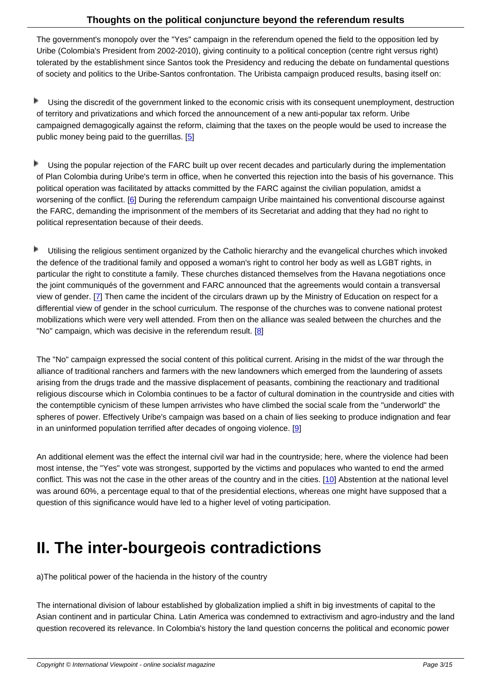The government's monopoly over the "Yes" campaign in the referendum opened the field to the opposition led by Uribe (Colombia's President from 2002-2010), giving continuity to a political conception (centre right versus right) tolerated by the establishment since Santos took the Presidency and reducing the debate on fundamental questions of society and politics to the Uribe-Santos confrontation. The Uribista campaign produced results, basing itself on:

- Þ Using the discredit of the government linked to the economic crisis with its consequent unemployment, destruction of territory and privatizations and which forced the announcement of a new anti-popular tax reform. Uribe campaigned demagogically against the reform, claiming that the taxes on the people would be used to increase the public money being paid to the guerrillas. [5]
- Þ Using the popular rejection of the FARC built up over recent decades and particularly during the implementation of Plan Colombia during Uribe's term in off[ic](#nb5)e, when he converted this rejection into the basis of his governance. This political operation was facilitated by attacks committed by the FARC against the civilian population, amidst a worsening of the conflict. [6] During the referendum campaign Uribe maintained his conventional discourse against the FARC, demanding the imprisonment of the members of its Secretariat and adding that they had no right to political representation because of their deeds.

Þ Utilising the religious sentiment organized by the Catholic hierarchy and the evangelical churches which invoked the defence of the traditional family and opposed a woman's right to control her body as well as LGBT rights, in particular the right to constitute a family. These churches distanced themselves from the Havana negotiations once the joint communiqués of the government and FARC announced that the agreements would contain a transversal view of gender. [7] Then came the incident of the circulars drawn up by the Ministry of Education on respect for a differential view of gender in the school curriculum. The response of the churches was to convene national protest mobilizations which were very well attended. From then on the alliance was sealed between the churches and the "No" campaign, [w](#nb7)hich was decisive in the referendum result. [8]

The "No" campaign expressed the social content of this political current. Arising in the midst of the war through the alliance of traditional ranchers and farmers with the new land[ow](#nb8)ners which emerged from the laundering of assets arising from the drugs trade and the massive displacement of peasants, combining the reactionary and traditional religious discourse which in Colombia continues to be a factor of cultural domination in the countryside and cities with the contemptible cynicism of these lumpen arrivistes who have climbed the social scale from the "underworld" the spheres of power. Effectively Uribe's campaign was based on a chain of lies seeking to produce indignation and fear in an uninformed population terrified after decades of ongoing violence. [9]

An additional element was the effect the internal civil war had in the countryside; here, where the violence had been most intense, the "Yes" vote was strongest, supported by the victims an[d p](#nb9)opulaces who wanted to end the armed conflict. This was not the case in the other areas of the country and in the cities. [10] Abstention at the national level was around 60%, a percentage equal to that of the presidential elections, whereas one might have supposed that a question of this significance would have led to a higher level of voting participation.

### **II. The inter-bourgeois contradictions**

a) The political power of the hacienda in the history of the country

The international division of labour established by globalization implied a shift in big investments of capital to the Asian continent and in particular China. Latin America was condemned to extractivism and agro-industry and the land question recovered its relevance. In Colombia's history the land question concerns the political and economic power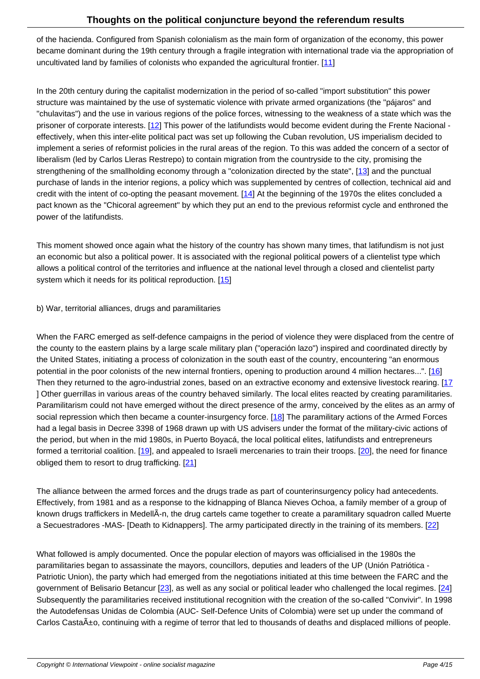of the hacienda. Configured from Spanish colonialism as the main form of organization of the economy, this power became dominant during the 19th century through a fragile integration with international trade via the appropriation of uncultivated land by families of colonists who expanded the agricultural frontier.  $[11]$ 

In the 20th century during the capitalist modernization in the period of so-called "import substitution" this power structure was maintained by the use of systematic violence with private armed o[rga](#nb11)nizations (the "pájaros" and "chulavitas") and the use in various regions of the police forces, witnessing to the weakness of a state which was the prisoner of corporate interests. [12] This power of the latifundists would become evident during the Frente Nacional effectively, when this inter-elite political pact was set up following the Cuban revolution, US imperialism decided to implement a series of reformist policies in the rural areas of the region. To this was added the concern of a sector of liberalism (led by Carlos Lleras Restrepo) to contain migration from the countryside to the city, promising the strengthening of the smallholdin[g e](#nb12)conomy through a "colonization directed by the state", [13] and the punctual purchase of lands in the interior regions, a policy which was supplemented by centres of collection, technical aid and credit with the intent of co-opting the peasant movement. [14] At the beginning of the 1970s the elites concluded a pact known as the "Chicoral agreement" by which they put an end to the previous reformis[t cy](#nb13)cle and enthroned the power of the latifundists.

This moment showed once again what the history of the country has shown many times, that latifundism is not just an economic but also a political power. It is associated with the regional political powers of a clientelist type which allows a political control of the territories and influence at the national level through a closed and clientelist party system which it needs for its political reproduction. [15]

### b) War, territorial alliances, drugs and paramilitaries

When the FARC emerged as self-defence campaigns in the period of violence they were displaced from the centre of the county to the eastern plains by a large scale military plan ("operación lazo") inspired and coordinated directly by the United States, initiating a process of colonization in the south east of the country, encountering "an enormous potential in the poor colonists of the new internal frontiers, opening to production around 4 million hectares...". [16] Then they returned to the agro-industrial zones, based on an extractive economy and extensive livestock rearing. [17 ] Other guerrillas in various areas of the country behaved similarly. The local elites reacted by creating paramilitaries. Paramilitarism could not have emerged without the direct presence of the army, conceived by the elites as an army of social repression which then became a counter-insurgency f[orce](#nb16). [18] The paramilitary actions of the Armed Forces had a legal basis in Decree 3398 of 1968 drawn up with US advisers under the format of the military-civic actions [of](#nb17) the period, but when in the mid 1980s, in Puerto Boyacá, the local political elites, latifundists and entrepreneurs formed a territorial coalition. [19], and appealed to Israeli mercena[ries](#nb18) to train their troops. [20], the need for finance obliged them to resort to drug trafficking. [21]

The alliance between the ar[med](#nb19) forces and the drugs trade as part of counterinsurgency p[olic](#nb20)y had antecedents. Effectively, from 1981 and as a response [to t](#nb21)he kidnapping of Blanca Nieves Ochoa, a family member of a group of known drugs traffickers in MedellÂ-n, the drug cartels came together to create a paramilitary squadron called Muerte a Secuestradores -MAS- [Death to Kidnappers]. The army participated directly in the training of its members. [22]

What followed is amply documented. Once the popular election of mayors was officialised in the 1980s the paramilitaries began to assassinate the mayors, councillors, deputies and leaders of the UP (Unión Patriótica [-](#nb22) Patriotic Union), the party which had emerged from the negotiations initiated at this time between the FARC and the government of Belisario Betancur [23], as well as any social or political leader who challenged the local regimes. [24] Subsequently the paramilitaries received institutional recognition with the creation of the so-called "Convivir". In 1998 the Autodefensas Unidas de Colombia (AUC- Self-Defence Units of Colombia) were set up under the command of Carlos Casta $\tilde{A}$ ±o, continuing with [a re](#nb23)gime of terror that led to thousands of deaths and displaced millions of peo[ple.](#nb24)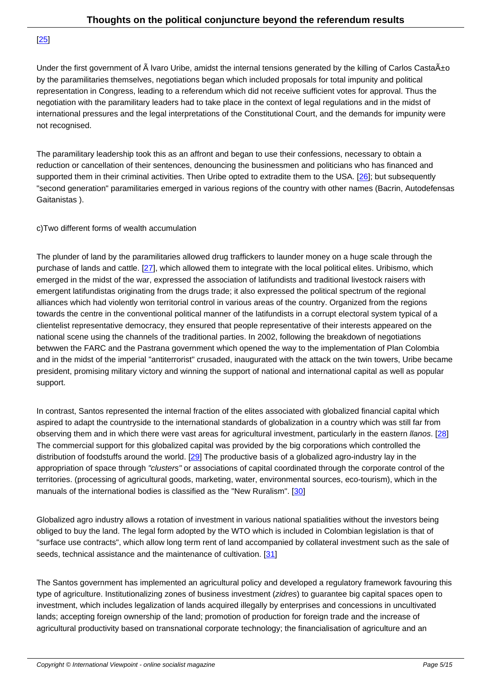<u>[20]</u>

Under the first government of  $\tilde{A}$  Ivaro Uribe, amidst the internal tensions generated by the killing of Carlos Casta $\tilde{A}$ ±o [by t](#nb25)he paramilitaries themselves, negotiations began which included proposals for total impunity and political representation in Congress, leading to a referendum which did not receive sufficient votes for approval. Thus the negotiation with the paramilitary leaders had to take place in the context of legal regulations and in the midst of international pressures and the legal interpretations of the Constitutional Court, and the demands for impunity were not recognised.

The paramilitary leadership took this as an affront and began to use their confessions, necessary to obtain a reduction or cancellation of their sentences, denouncing the businessmen and politicians who has financed and supported them in their criminal activities. Then Uribe opted to extradite them to the USA. [26]; but subsequently "second generation" paramilitaries emerged in various regions of the country with other names (Bacrin, Autodefensas Gaitanistas ).

### c) Two different forms of wealth accumulation

The plunder of land by the paramilitaries allowed drug traffickers to launder money on a huge scale through the purchase of lands and cattle. [27], which allowed them to integrate with the local political elites. Uribismo, which emerged in the midst of the war, expressed the association of latifundists and traditional livestock raisers with emergent latifundistas originating from the drugs trade; it also expressed the political spectrum of the regional alliances which had violently won territorial control in various areas of the country. Organized from the regions towards the centre in the conv[ent](#nb27)ional political manner of the latifundists in a corrupt electoral system typical of a clientelist representative democracy, they ensured that people representative of their interests appeared on the national scene using the channels of the traditional parties. In 2002, following the breakdown of negotiations betwwen the FARC and the Pastrana government which opened the way to the implementation of Plan Colombia and in the midst of the imperial "antiterrorist" crusaded, inaugurated with the attack on the twin towers, Uribe became president, promising military victory and winning the support of national and international capital as well as popular support.

In contrast, Santos represented the internal fraction of the elites associated with globalized financial capital which aspired to adapt the countryside to the international standards of globalization in a country which was still far from observing them and in which there were vast areas for agricultural investment, particularly in the eastern llanos. [28] The commercial support for this globalized capital was provided by the big corporations which controlled the distribution of foodstuffs around the world. [29] The productive basis of a globalized agro-industry lay in the appropriation of space through "clusters" or associations of capital coordinated through the corporate control of t[he](#nb28) territories. (processing of agricultural goods, marketing, water, environmental sources, eco-tourism), which in the manuals of the international bodies is class[ifie](#nb29)d as the "New Ruralism". [30]

Globalized agro industry allows a rotation of investment in various national spatialities without the investors being obliged to buy the land. The legal form adopted by the WTO which is inc[lud](#nb30)ed in Colombian legislation is that of "surface use contracts", which allow long term rent of land accompanied by collateral investment such as the sale of seeds, technical assistance and the maintenance of cultivation. [31]

The Santos government has implemented an agricultural policy and developed a regulatory framework favouring this type of agriculture. Institutionalizing zones of business investme[nt \(](#nb31)zidres) to guarantee big capital spaces open to investment, which includes legalization of lands acquired illegally by enterprises and concessions in uncultivated lands; accepting foreign ownership of the land; promotion of production for foreign trade and the increase of agricultural productivity based on transnational corporate technology; the financialisation of agriculture and an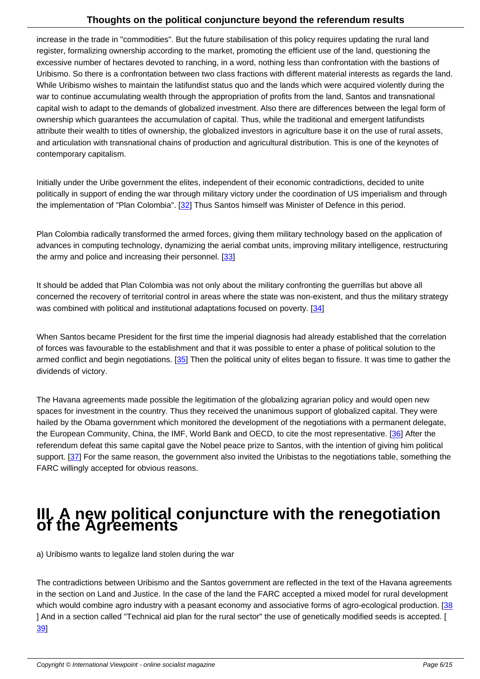increase in the trade in "commodities". But the future stabilisation of this policy requires updating the rural land register, formalizing ownership according to the market, promoting the efficient use of the land, questioning the excessive number of hectares devoted to ranching, in a word, nothing less than confrontation with the bastions of Uribismo. So there is a confrontation between two class fractions with different material interests as regards the land. While Uribismo wishes to maintain the latifundist status quo and the lands which were acquired violently during the war to continue accumulating wealth through the appropriation of profits from the land, Santos and transnational capital wish to adapt to the demands of globalized investment. Also there are differences between the legal form of ownership which guarantees the accumulation of capital. Thus, while the traditional and emergent latifundists attribute their wealth to titles of ownership, the globalized investors in agriculture base it on the use of rural assets, and articulation with transnational chains of production and agricultural distribution. This is one of the keynotes of contemporary capitalism.

Initially under the Uribe government the elites, independent of their economic contradictions, decided to unite politically in support of ending the war through military victory under the coordination of US imperialism and through the implementation of "Plan Colombia". [32] Thus Santos himself was Minister of Defence in this period.

Plan Colombia radically transformed the armed forces, giving them military technology based on the application of advances in computing technology, dyn[ami](#nb32)zing the aerial combat units, improving military intelligence, restructuring the army and police and increasing their personnel. [33]

It should be added that Plan Colombia was not only about the military confronting the guerrillas but above all concerned the recovery of territorial control in areas [wh](#nb33)ere the state was non-existent, and thus the military strategy was combined with political and institutional adaptations focused on poverty. [34]

When Santos became President for the first time the imperial diagnosis had already established that the correlation of forces was favourable to the establishment and that it was possible to ente[r a](#nb34) phase of political solution to the armed conflict and begin negotiations. [35] Then the political unity of elites began to fissure. It was time to gather the dividends of victory.

The Havana agreements made possibl[e th](#nb35)e legitimation of the globalizing agrarian policy and would open new spaces for investment in the country. Thus they received the unanimous support of globalized capital. They were hailed by the Obama government which monitored the development of the negotiations with a permanent delegate, the European Community, China, the IMF, World Bank and OECD, to cite the most representative. [36] After the referendum defeat this same capital gave the Nobel peace prize to Santos, with the intention of giving him political support. [37] For the same reason, the government also invited the Uribistas to the negotiations table, something the FARC willingly accepted for obvious reasons.

## **III. A new political conjuncture with the renegotiation of the Agreements**

a) Uribismo wants to legalize land stolen during the war

The contradictions between Uribismo and the Santos government are reflected in the text of the Havana agreements in the section on Land and Justice. In the case of the land the FARC accepted a mixed model for rural development which would combine agro industry with a peasant economy and associative forms of agro-ecological production. [38 ] And in a section called "Technical aid plan for the rural sector" the use of genetically modified seeds is accepted. [ 39]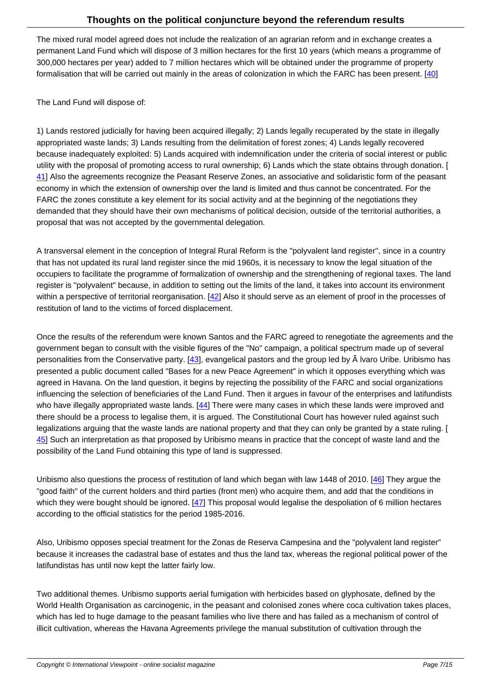The mixed rural model agreed does not include the realization of an agrarian reform and in exchange creates a permanent Land Fund which will dispose of 3 million hectares for the first 10 years (which means a programme of 300,000 hectares per year) added to 7 million hectares which will be obtained under the programme of property formalisation that will be carried out mainly in the areas of colonization in which the FARC has been present. [40]

The Land Fund will dispose of:

1) Lands restored judicially for having been acquired illegally; 2) Lands legally recuperated by the state in illegally appropriated waste lands; 3) Lands resulting from the delimitation of forest zones; 4) Lands legally recovered because inadequately exploited: 5) Lands acquired with indemnification under the criteria of social interest or public utility with the proposal of promoting access to rural ownership; 6) Lands which the state obtains through donation. [ 41] Also the agreements recognize the Peasant Reserve Zones, an associative and solidaristic form of the peasant economy in which the extension of ownership over the land is limited and thus cannot be concentrated. For the FARC the zones constitute a key element for its social activity and at the beginning of the negotiations they demanded that they should have their own mechanisms of political decision, outside of the territorial authorities, a [pro](#nb41)posal that was not accepted by the governmental delegation.

A transversal element in the conception of Integral Rural Reform is the "polyvalent land register", since in a country that has not updated its rural land register since the mid 1960s, it is necessary to know the legal situation of the occupiers to facilitate the programme of formalization of ownership and the strengthening of regional taxes. The land register is "polyvalent" because, in addition to setting out the limits of the land, it takes into account its environment within a perspective of territorial reorganisation.  $[42]$  Also it should serve as an element of proof in the processes of restitution of land to the victims of forced displacement.

Once the results of the referendum were known [San](#nb42)tos and the FARC agreed to renegotiate the agreements and the government began to consult with the visible figures of the "No" campaign, a political spectrum made up of several personalities from the Conservative party. [43], evangelical pastors and the group led by  $\tilde{A}$  lvaro Uribe. Uribismo has presented a public document called "Bases for a new Peace Agreement" in which it opposes everything which was agreed in Havana. On the land question, it begins by rejecting the possibility of the FARC and social organizations influencing the selection of beneficiaries of the Land Fund. Then it argues in favour of the enterprises and latifundists who have illegally appropriated waste lands.  $[44]$  There were many cases in which these lands were improved and there should be a process to legalise them, it is argued. The Constitutional Court has however ruled against such legalizations arguing that the waste lands are national property and that they can only be granted by a state ruling. [ 45] Such an interpretation as that proposed by Uribismo means in practice that the concept of waste land and the possibility of the Land Fund obtaining this typ[e o](#nb44)f land is suppressed.

[Uri](#nb45)bismo also questions the process of restitution of land which began with law 1448 of 2010. [46] They argue the "good faith" of the current holders and third parties (front men) who acquire them, and add that the conditions in which they were bought should be ignored.  $[47]$  This proposal would legalise the despoliation of 6 million hectares according to the official statistics for the period 1985-2016.

Also, Uribismo opposes special treatment fo[r th](#nb47)e Zonas de Reserva Campesina and the "polyvalent land register" because it increases the cadastral base of estates and thus the land tax, whereas the regional political power of the latifundistas has until now kept the latter fairly low.

Two additional themes. Uribismo supports aerial fumigation with herbicides based on glyphosate, defined by the World Health Organisation as carcinogenic, in the peasant and colonised zones where coca cultivation takes places, which has led to huge damage to the peasant families who live there and has failed as a mechanism of control of illicit cultivation, whereas the Havana Agreements privilege the manual substitution of cultivation through the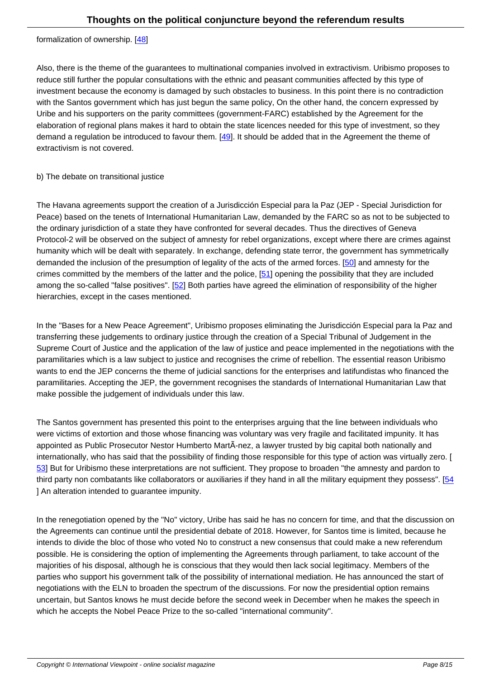#### **formalization** or ownership. <u>[40]</u>

Also, there is the theme of the guarantees to multinational companies involved in extractivism. Uribismo proposes to reduce still further the popul[ar c](#nb48)onsultations with the ethnic and peasant communities affected by this type of investment because the economy is damaged by such obstacles to business. In this point there is no contradiction with the Santos government which has just begun the same policy, On the other hand, the concern expressed by Uribe and his supporters on the parity committees (government-FARC) established by the Agreement for the elaboration of regional plans makes it hard to obtain the state licences needed for this type of investment, so they demand a regulation be introduced to favour them. [49]. It should be added that in the Agreement the theme of extractivism is not covered.

### b) The debate on transitional justice

The Havana agreements support the creation of a Jurisdicción Especial para la Paz (JEP - Special Jurisdiction for Peace) based on the tenets of International Humanitarian Law, demanded by the FARC so as not to be subjected to the ordinary jurisdiction of a state they have confronted for several decades. Thus the directives of Geneva Protocol-2 will be observed on the subject of amnesty for rebel organizations, except where there are crimes against humanity which will be dealt with separately. In exchange, defending state terror, the government has symmetrically demanded the inclusion of the presumption of legality of the acts of the armed forces. [50] and amnesty for the crimes committed by the members of the latter and the police, [51] opening the possibility that they are included among the so-called "false positives". [52] Both parties have agreed the elimination of responsibility of the higher hierarchies, except in the cases mentioned.

In the "Bases for a New Peace Agree[men](#nb52)t", Uribismo proposes eliminating the Jurisdicción Especial para la Paz and transferring these judgements to ordinary justice through the creation of a Special Tribunal of Judgement in the Supreme Court of Justice and the application of the law of justice and peace implemented in the negotiations with the paramilitaries which is a law subject to justice and recognises the crime of rebellion. The essential reason Uribismo wants to end the JEP concerns the theme of judicial sanctions for the enterprises and latifundistas who financed the paramilitaries. Accepting the JEP, the government recognises the standards of International Humanitarian Law that make possible the judgement of individuals under this law.

The Santos government has presented this point to the enterprises arguing that the line between individuals who were victims of extortion and those whose financing was voluntary was very fragile and facilitated impunity. It has appointed as Public Prosecutor Nestor Humberto MartÃ-nez, a lawyer trusted by big capital both nationally and internationally, who has said that the possibility of finding those responsible for this type of action was virtually zero. [ 53] But for Uribismo these interpretations are not sufficient. They propose to broaden "the amnesty and pardon to third party non combatants like collaborators or auxiliaries if they hand in all the military equipment they possess". [54] ] An alteration intended to guarantee impunity.

In the renegotiation opened by the "No" victory, Uribe has said he has no concern for time, and that the discussion [on](#nb54) the Agreements can continue until the presidential debate of 2018. However, for Santos time is limited, because he intends to divide the bloc of those who voted No to construct a new consensus that could make a new referendum possible. He is considering the option of implementing the Agreements through parliament, to take account of the majorities of his disposal, although he is conscious that they would then lack social legitimacy. Members of the parties who support his government talk of the possibility of international mediation. He has announced the start of negotiations with the ELN to broaden the spectrum of the discussions. For now the presidential option remains uncertain, but Santos knows he must decide before the second week in December when he makes the speech in which he accepts the Nobel Peace Prize to the so-called "international community".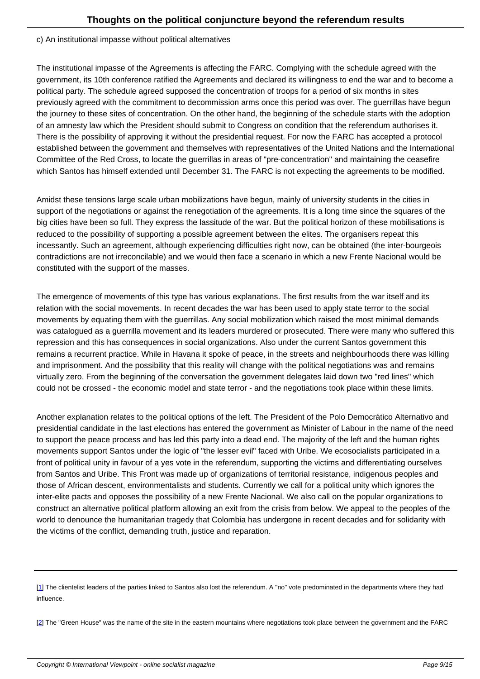The institutional impasse of the Agreements is affecting the FARC. Complying with the schedule agreed with the government, its 10th conference ratified the Agreements and declared its willingness to end the war and to become a political party. The schedule agreed supposed the concentration of troops for a period of six months in sites previously agreed with the commitment to decommission arms once this period was over. The guerrillas have begun the journey to these sites of concentration. On the other hand, the beginning of the schedule starts with the adoption of an amnesty law which the President should submit to Congress on condition that the referendum authorises it. There is the possibility of approving it without the presidential request. For now the FARC has accepted a protocol established between the government and themselves with representatives of the United Nations and the International Committee of the Red Cross, to locate the guerrillas in areas of "pre-concentration" and maintaining the ceasefire which Santos has himself extended until December 31. The FARC is not expecting the agreements to be modified.

Amidst these tensions large scale urban mobilizations have begun, mainly of university students in the cities in support of the negotiations or against the renegotiation of the agreements. It is a long time since the squares of the big cities have been so full. They express the lassitude of the war. But the political horizon of these mobilisations is reduced to the possibility of supporting a possible agreement between the elites. The organisers repeat this incessantly. Such an agreement, although experiencing difficulties right now, can be obtained (the inter-bourgeois contradictions are not irreconcilable) and we would then face a scenario in which a new Frente Nacional would be constituted with the support of the masses.

The emergence of movements of this type has various explanations. The first results from the war itself and its relation with the social movements. In recent decades the war has been used to apply state terror to the social movements by equating them with the guerrillas. Any social mobilization which raised the most minimal demands was catalogued as a guerrilla movement and its leaders murdered or prosecuted. There were many who suffered this repression and this has consequences in social organizations. Also under the current Santos government this remains a recurrent practice. While in Havana it spoke of peace, in the streets and neighbourhoods there was killing and imprisonment. And the possibility that this reality will change with the political negotiations was and remains virtually zero. From the beginning of the conversation the government delegates laid down two "red lines" which could not be crossed - the economic model and state terror - and the negotiations took place within these limits.

Another explanation relates to the political options of the left. The President of the Polo Democrático Alternativo and presidential candidate in the last elections has entered the government as Minister of Labour in the name of the need to support the peace process and has led this party into a dead end. The majority of the left and the human rights movements support Santos under the logic of "the lesser evil" faced with Uribe. We ecosocialists participated in a front of political unity in favour of a yes vote in the referendum, supporting the victims and differentiating ourselves from Santos and Uribe. This Front was made up of organizations of territorial resistance, indigenous peoples and those of African descent, environmentalists and students. Currently we call for a political unity which ignores the inter-elite pacts and opposes the possibility of a new Frente Nacional. We also call on the popular organizations to construct an alternative political platform allowing an exit from the crisis from below. We appeal to the peoples of the world to denounce the humanitarian tragedy that Colombia has undergone in recent decades and for solidarity with the victims of the conflict, demanding truth, justice and reparation.

<sup>[1]</sup> The clientelist leaders of the parties linked to Santos also lost the referendum. A "no" vote predominated in the departments where they had influence.

<sup>[</sup>[2](#nh1)] The "Green House" was the name of the site in the eastern mountains where negotiations took place between the government and the FARC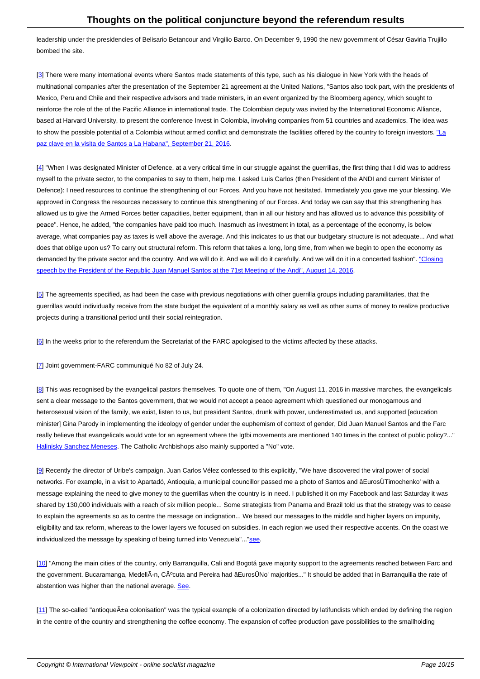leadership under the presidencies of Belisario Betancour and Virgilio Barco. On December 9, 1990 the new government of César Gaviria Trujillo bombed the site.

[3] There were many international events where Santos made statements of this type, such as his dialogue in New York with the heads of multinational companies after the presentation of the September 21 agreement at the United Nations, "Santos also took part, with the presidents of Mexico, Peru and Chile and their respective advisors and trade ministers, in an event organized by the Bloomberg agency, which sought to reinforce the role of the of the Pacific Alliance in international trade. The Colombian deputy was invited by the International Economic Alliance, [ba](#nh3)sed at Harvard University, to present the conference Invest in Colombia, involving companies from 51 countries and academics. The idea was to show the possible potential of a Colombia without armed conflict and demonstrate the facilities offered by the country to foreign investors. "La paz clave en la visita de Santos a La Habana", September 21, 2016.

[4] "When I was designated Minister of Defence, at a very critical time in our struggle against the guerrillas, the first thing that I did was to ad[dres](http://www.elespectador.com/noticias/politica/paz-clave-de-visita-de-santos-onu-articulo-518055)s [myself to the private sector, to the companies to say to them, help m](http://www.elespectador.com/noticias/politica/paz-clave-de-visita-de-santos-onu-articulo-518055)e. I asked Luis Carlos (then President of the ANDI and current Minister of Defence): I need resources to continue the strengthening of our Forces. And you have not hesitated. Immediately you gave me your blessing. We approved in Congress the resources necessary to continue this strengthening of our Forces. And today we can say that this strengthening has [all](#nh4)owed us to give the Armed Forces better capacities, better equipment, than in all our history and has allowed us to advance this possibility of peace". Hence, he added, "the companies have paid too much. Inasmuch as investment in total, as a percentage of the economy, is below average, what companies pay as taxes is well above the average. And this indicates to us that our budgetary structure is not adequate... And what does that oblige upon us? To carry out structural reform. This reform that takes a long, long time, from when we begin to open the economy as demanded by the private sector and the country. And we will do it. And we will do it carefully. And we will do it in a concerted fashion". "Closing speech by the President of the Republic Juan Manuel Santos at the 71st Meeting of the Andi", August 14, 2016.

[5] The agreements specified, as had been the case with previous negotiations with other guerrilla groups including paramilitaries, that [the](http://wp.presidencia.gov.co/Noticias/2015/Agosto/Paginas/20150814_07-Palabras-del-Presidente-Juan-Manuel-Santos-en-la-clausura-de-la-71-Asamblea-de-la-Andi.aspx) [guerrillas would individually receive from the state budget the equivalent of a monthly salary as well as other sum](http://wp.presidencia.gov.co/Noticias/2015/Agosto/Paginas/20150814_07-Palabras-del-Presidente-Juan-Manuel-Santos-en-la-clausura-de-la-71-Asamblea-de-la-Andi.aspx)s of money to realize productive projects during a transitional period until their social reintegration.

[[6](#nh5)] In the weeks prior to the referendum the Secretariat of the FARC apologised to the victims affected by these attacks.

[7] Joint government-FARC communiqué No 82 of July 24.

[8] This was recognised by the evangelical pastors themselves. To quote one of them, "On August 11, 2016 in massive marches, the evangelicals [se](#nh7)nt a clear message to the Santos government, that we would not accept a peace agreement which questioned our monogamous and heterosexual vision of the family, we exist, listen to us, but president Santos, drunk with power, underestimated us, and supported [education minister] Gina Parody in implementing the ideology of gender under the euphemism of context of gender, Did Juan Manuel Santos and the Farc [re](#nh8)ally believe that evangelicals would vote for an agreement where the lgtbi movements are mentioned 140 times in the context of public policy?..." Halinisky Sanchez Meneses. The Catholic Archbishops also mainly supported a "No" vote.

[9] Recently the director of Uribe's campaign, Juan Carlos Vélez confessed to this explicitly, "We have discovered the viral power of social [networks. For example, in a](https://internationalviewpoint.org/in www.las2orillas.co/dia-los-evangelicos-derrotaron-al-gobierno-santos/) visit to Apartadó, Antioquia, a municipal councillor passed me a photo of Santos and âEurosÜTimochenko' with a message explaining the need to give money to the guerrillas when the country is in need. I published it on my Facebook and last Saturday it was shared by 130,000 individuals with a reach of six million people... Some strategists from Panama and Brazil told us that the strategy was to cease t[o](#nh9) explain the agreements so as to centre the message on indignation... We based our messages to the middle and higher layers on impunity, eligibility and tax reform, whereas to the lower layers we focused on subsidies. In each region we used their respective accents. On the coast we individualized the message by speaking of being turned into Venezuela"..."see.

[10] "Among the main cities of the country, only Barranquilla, Cali and Bogotá gave majority support to the agreements reached between Farc and the government. Bucaramanga, MedellÃ-n, Cúcuta and Pereira had âEur[osÜN](http://www.semana.com/nacion/articulo/plebiscito-por-la-paz-juan-carlos-velez-revela-estrategia-y-financiadores-del-no/497938)o' majorities..." It should be added that in Barranquilla the rate of abstention was higher than the national average. See.

 $[11]$  $[11]$  $[11]$  The so-called "antioque $\tilde{A}$ ±a colonisation" was the typical example of a colonization directed by latifundists which ended by defining the region in the centre of the country and strengthening the [coff](http://www.eltiempo.com/politica/proceso-de-paz/resultado...en-plebiscito.../16716727)ee economy. The expansion of coffee production gave possibilities to the smallholding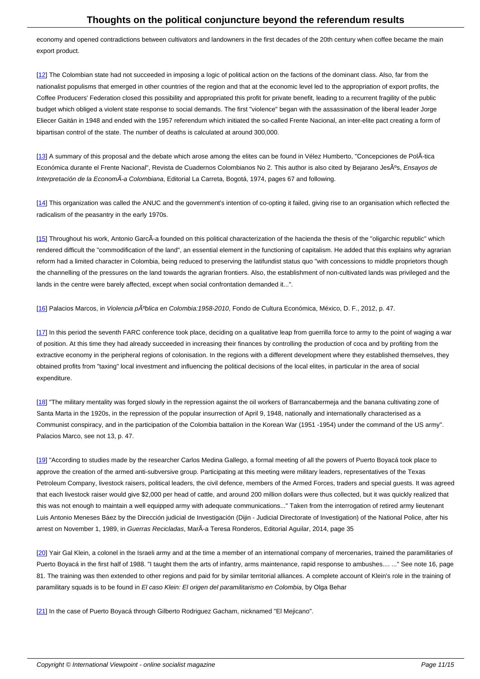economy and opened contradictions between cultivators and landowners in the first decades of the 20th century when coffee became the main export product.

[12] The Colombian state had not succeeded in imposing a logic of political action on the factions of the dominant class. Also, far from the nationalist populisms that emerged in other countries of the region and that at the economic level led to the appropriation of export profits, the Coffee Producers' Federation closed this possibility and appropriated this profit for private benefit, leading to a recurrent fragility of the public budget which obliged a violent state response to social demands. The first "violence" began with the assassination of the liberal leader Jorge [Elie](#nh12)cer Gaitán in 1948 and ended with the 1957 referendum which initiated the so-called Frente Nacional, an inter-elite pact creating a form of bipartisan control of the state. The number of deaths is calculated at around 300,000.

[13] A summary of this proposal and the debate which arose among the elites can be found in Vélez Humberto, "Concepciones de PolÂ-tica Económica durante el Frente Nacional", Revista de Cuadernos Colombianos No 2. This author is also cited by Bejarano Jesºs, Ensayos de Interpretación de la EconomÃ-a Colombiana, Editorial La Carreta, Bogotá, 1974, pages 67 and following.

[14] This organization was called the ANUC and the government's intention of co-opting it failed, giving rise to an organisation which reflected the radicalism of the peasantry in the early 1970s.

[[15](#nh14)] Throughout his work, Antonio GarcÃ-a founded on this political characterization of the hacienda the thesis of the "oligarchic republic" which rendered difficult the "commodification of the land", an essential element in the functioning of capitalism. He added that this explains why agrarian reform had a limited character in Colombia, being reduced to preserving the latifundist status quo "with concessions to middle proprietors though the channelling of the pressures on the land towards the agrarian frontiers. Also, the establishment of non-cultivated lands was privileged and the l[an](#nh15)ds in the centre were barely affected, except when social confrontation demanded it...".

[16] Palacios Marcos, in Violencia pºblica en Colombia:1958-2010, Fondo de Cultura Económica, México, D. F., 2012, p. 47.

[17] In this period the seventh FARC conference took place, deciding on a qualitative leap from guerrilla force to army to the point of waging a war [of p](#nh16)osition. At this time they had already succeeded in increasing their finances by controlling the production of coca and by profiting from the extractive economy in the peripheral regions of colonisation. In the regions with a different development where they established themselves, they obtained profits from "taxing" local investment and influencing the political decisions of the local elites, in particular in the area of social [exp](#nh17)enditure.

[18] "The military mentality was forged slowly in the repression against the oil workers of Barrancabermeja and the banana cultivating zone of Santa Marta in the 1920s, in the repression of the popular insurrection of April 9, 1948, nationally and internationally characterised as a Communist conspiracy, and in the participation of the Colombia battalion in the Korean War (1951 -1954) under the command of the US army". [Pal](#nh18)acios Marco, see not 13, p. 47.

[19] "According to studies made by the researcher Carlos Medina Gallego, a formal meeting of all the powers of Puerto Boyacá took place to approve the creation of the armed anti-subversive group. Participating at this meeting were military leaders, representatives of the Texas Petroleum Company, livestock raisers, political leaders, the civil defence, members of the Armed Forces, traders and special guests. It was agreed that each livestock raiser would give \$2,000 per head of cattle, and around 200 million dollars were thus collected, but it was quickly realized that t[his](#nh19) was not enough to maintain a well equipped army with adequate communications..." Taken from the interrogation of retired army lieutenant Luis Antonio Meneses Báez by the Dirección judicial de Investigación (Dijin - Judicial Directorate of Investigation) of the National Police, after his arrest on November 1, 1989, in Guerras Recicladas, MarÃ-a Teresa Ronderos, Editorial Aguilar, 2014, page 35

[20] Yair Gal Klein, a colonel in the Israeli army and at the time a member of an international company of mercenaries, trained the paramilitaries of Puerto Boyacá in the first half of 1988. "I taught them the arts of infantry, arms maintenance, rapid response to ambushes.... ..." See note 16, page 81. The training was then extended to other regions and paid for by similar territorial alliances. A complete account of Klein's role in the training of [par](#nh20)amilitary squads is to be found in El caso Klein: El origen del paramilitarismo en Colombia, by Olga Behar

[21] In the case of Puerto Boyacá through Gilberto Rodriguez Gacham, nicknamed "El Mejicano".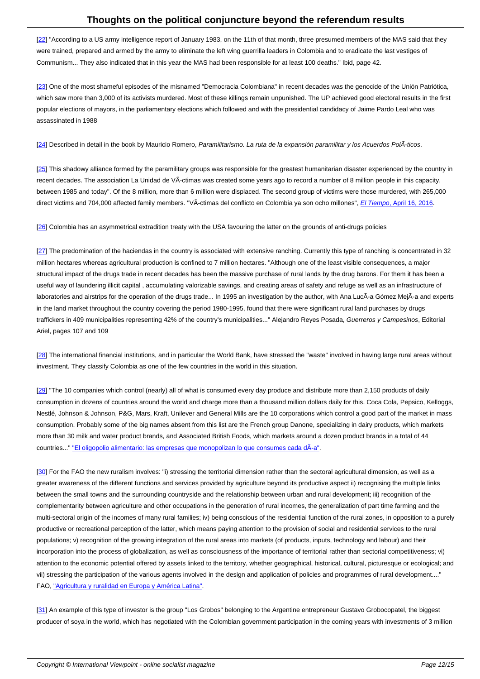[22] "According to a US army intelligence report of January 1983, on the 11th of that month, three presumed members of the MAS said that they were trained, prepared and armed by the army to eliminate the left wing guerrilla leaders in Colombia and to eradicate the last vestiges of Communism... They also indicated that in this year the MAS had been responsible for at least 100 deaths." Ibid, page 42.

[[23](#nh22)] One of the most shameful episodes of the misnamed "Democracia Colombiana" in recent decades was the genocide of the Unión Patriótica, which saw more than 3,000 of its activists murdered. Most of these killings remain unpunished. The UP achieved good electoral results in the first popular elections of mayors, in the parliamentary elections which followed and with the presidential candidacy of Jaime Pardo Leal who was [ass](#nh23)assinated in 1988

[24] Described in detail in the book by Mauricio Romero, Paramilitarismo. La ruta de la expansión paramilitar y los Acuerdos PolÂ-ticos.

[25] This shadowy alliance formed by the paramilitary groups was responsible for the greatest humanitarian disaster experienced by the country in [rec](#nh24)ent decades. The association La Unidad de VÃ-ctimas was created some years ago to record a number of 8 million people in this capacity, between 1985 and today". Of the 8 million, more than 6 million were displaced. The second group of victims were those murdered, with 265,000 [dire](#nh25)ct victims and 704,000 affected family members. "VÃ-ctimas del conflicto en Colombia ya son ocho millones", *El Tiempo*, April 16, 2016.

[26] Colombia has an asymmetrical extradition treaty with the USA favouring the latter on the grounds of anti-drugs policies

[27] The predomination of the haciendas in the country is associated with extensive ranching. Currently this type of ranching is concentrated in 32 [mill](#nh26)ion hectares whereas agricultural production is confined to 7 million hectares. "Although one of the least visible consequences, a major structural impact of the drugs trade in recent decades has been the massive purchase of rural lands by the drug barons. For them it has been a useful way of laundering illicit capital , accumulating valorizable savings, and creating areas of safety and refuge as well as an infrastructure of l[ab](#nh27)oratories and airstrips for the operation of the drugs trade... In 1995 an investigation by the author, with Ana LucÃ-a Gómez MejÃ-a and experts in the land market throughout the country covering the period 1980-1995, found that there were significant rural land purchases by drugs traffickers in 409 municipalities representing 42% of the country's municipalities..." Alejandro Reyes Posada, Guerreros y Campesinos, Editorial Ariel, pages 107 and 109

[28] The international financial institutions, and in particular the World Bank, have stressed the "waste" involved in having large rural areas without investment. They classify Colombia as one of the few countries in the world in this situation.

[[29](#nh28)] "The 10 companies which control (nearly) all of what is consumed every day produce and distribute more than 2,150 products of daily consumption in dozens of countries around the world and charge more than a thousand million dollars daily for this. Coca Cola, Pepsico, Kelloggs, Nestlé, Johnson & Johnson, P&G, Mars, Kraft, Unilever and General Mills are the 10 corporations which control a good part of the market in mass consumption. Probably some of the big names absent from this list are the French group Danone, specializing in dairy products, which markets [mo](#nh29)re than 30 milk and water product brands, and Associated British Foods, which markets around a dozen product brands in a total of 44 countries..." "El oligopolio alimentario: las empresas que monopolizan lo que consumes cada dÃ-a".

[30] For the FAO the new ruralism involves: "i) stressing the territorial dimension rather than the sectoral agricultural dimension, as well as a greater awa[reness of the different functions and services provided by agriculture beyond its product](http://www.ecoagricultor.com/el-oligopolio-alimentario-las-empresas-que-monopolizan-lo-que-consumes-cada-dia/)ive aspect ii) recognising the multiple links between the small towns and the surrounding countryside and the relationship between urban and rural development; iii) recognition of the [com](#nh30)plementarity between agriculture and other occupations in the generation of rural incomes, the generalization of part time farming and the multi-sectoral origin of the incomes of many rural families; iv) being conscious of the residential function of the rural zones, in opposition to a purely productive or recreational perception of the latter, which means paying attention to the provision of social and residential services to the rural populations; v) recognition of the growing integration of the rural areas into markets (of products, inputs, technology and labour) and their incorporation into the process of globalization, as well as consciousness of the importance of territorial rather than sectorial competitiveness; vi) attention to the economic potential offered by assets linked to the territory, whether geographical, historical, cultural, picturesque or ecological; and vii) stressing the participation of the various agents involved in the design and application of policies and programmes of rural development...." FAO, "Agricultura y ruralidad en Europa y América Latina".

[31] An example of this type of investor is the group "Los Grobos" belonging to the Argentine entrepreneur Gustavo Grobocopatel, the biggest produ[cer of soya in the world, which has negotiated with th](http://www.fao.org/docrep/004/y4524s/y4524s04.htm)e Colombian government participation in the coming years with investments of 3 million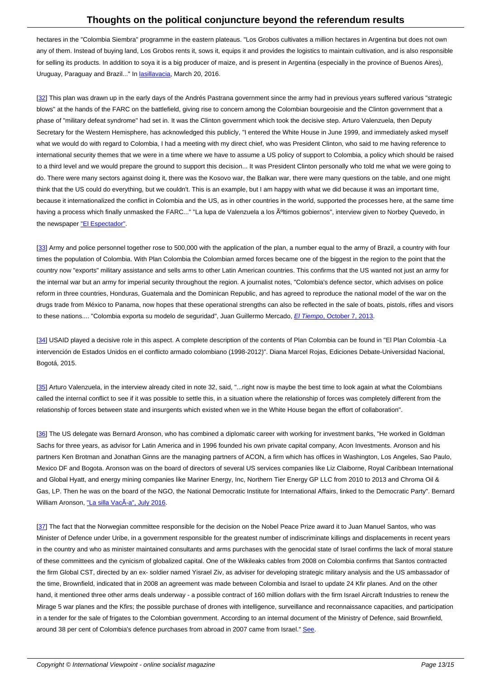hectares in the "Colombia Siembra" programme in the eastern plateaus. "Los Grobos cultivates a million hectares in Argentina but does not own any of them. Instead of buying land, Los Grobos rents it, sows it, equips it and provides the logistics to maintain cultivation, and is also responsible for selling its products. In addition to soya it is a big producer of maize, and is present in Argentina (especially in the province of Buenos Aires), Uruguay, Paraguay and Brazil..." In lasillavacia, March 20, 2016.

[32] This plan was drawn up in the early days of the Andrés Pastrana government since the army had in previous years suffered various "strategic blows" at the hands of the FARC on [the battlefi](http://lasillavacia.com/)eld, giving rise to concern among the Colombian bourgeoisie and the Clinton government that a phase of "military defeat syndrome" had set in. It was the Clinton government which took the decisive step. Arturo Valenzuela, then Deputy Secretary for the Western Hemisphere, has acknowledged this publicly, "I entered the White House in June 1999, and immediately asked myself [wha](#nh32)t we would do with regard to Colombia, I had a meeting with my direct chief, who was President Clinton, who said to me having reference to international security themes that we were in a time where we have to assume a US policy of support to Colombia, a policy which should be raised to a third level and we would prepare the ground to support this decision... It was President Clinton personally who told me what we were going to do. There were many sectors against doing it, there was the Kosovo war, the Balkan war, there were many questions on the table, and one might think that the US could do everything, but we couldn't. This is an example, but I am happy with what we did because it was an important time, because it internationalized the conflict in Colombia and the US, as in other countries in the world, supported the processes here, at the same time having a process which finally unmasked the FARC..." "La lupa de Valenzuela a los ºltimos gobiernos", interview given to Norbey Quevedo, in the newspaper "El Espectador".

[33] Army and police personnel together rose to 500,000 with the application of the plan, a number equal to the army of Brazil, a country with four times the popul[ation of Colombi](http://www.elespectador.com/noticias/politica/lupa-de-valenzuela-los-ultimos-gobiernos-articulo-461477)a. With Plan Colombia the Colombian armed forces became one of the biggest in the region to the point that the country now "exports" military assistance and sells arms to other Latin American countries. This confirms that the US wanted not just an army for the internal war but an army for imperial security throughout the region. A journalist notes, "Colombia's defence sector, which advises on police [refo](#nh33)rm in three countries, Honduras, Guatemala and the Dominican Republic, and has agreed to reproduce the national model of the war on the drugs trade from México to Panama, now hopes that these operational strengths can also be reflected in the sale of boats, pistols, rifles and visors to these nations.... "Colombia exporta su modelo de seguridad", Juan Guillermo Mercado, El Tiempo, October 7, 2013.

[34] USAID played a decisive role in this aspect. A complete description of the contents of Plan Colombia can be found in "El Plan Colombia -La intervención de Estados Unidos en el conflicto armado colombiano (1998-2012)". Diana M[arcel Rojas, Ediciones Deba](http://www.eltiempo.com/archivo/documento/CMS-13105572)te-Universidad Nacional, Bogotá, 2015.

[35] Arturo Valenzuela, in the interview already cited in note 32, said, "...right now is maybe the best time to look again at what the Colombians called the internal conflict to see if it was possible to settle this, in a situation where the relationship of forces was completely different from the relationship of forces between state and insurgents which existed when we in the White House began the effort of collaboration".

[[36](#nh35)] The US delegate was Bernard Aronson, who has combined a diplomatic career with working for investment banks, "He worked in Goldman Sachs for three years, as advisor for Latin America and in 1996 founded his own private capital company, Acon Investments. Aronson and his partners Ken Brotman and Jonathan Ginns are the managing partners of ACON, a firm which has offices in Washington, Los Angeles, Sao Paulo, Mexico DF and Bogota. Aronson was on the board of directors of several US services companies like Liz Claiborne, Royal Caribbean International [and](#nh36) Global Hyatt, and energy mining companies like Mariner Energy, Inc, Northern Tier Energy GP LLC from 2010 to 2013 and Chroma Oil & Gas, LP. Then he was on the board of the NGO, the National Democratic Institute for International Affairs, linked to the Democratic Party". Bernard William Aronson, "La silla VacÃa", July 2016.

[37] The fact that the Norwegian committee responsible for the decision on the Nobel Peace Prize award it to Juan Manuel Santos, who was Minister of Defen[ce under Uribe, in a governm](http://lasillavacia.com/quienesquien/perfilquien/bernard-william-aronson)ent responsible for the greatest number of indiscriminate killings and displacements in recent years in the country and who as minister maintained consultants and arms purchases with the genocidal state of Israel confirms the lack of moral stature of these committees and the cynicism of globalized capital. One of the Wikileaks cables from 2008 on Colombia confirms that Santos contracted t[he](#nh37) firm Global CST, directed by an ex- soldier named Yisrael Ziv, as adviser for developing strategic military analysis and the US ambassador of the time, Brownfield, indicated that in 2008 an agreement was made between Colombia and Israel to update 24 Kfir planes. And on the other hand, it mentioned three other arms deals underway - a possible contract of 160 million dollars with the firm Israel Aircraft Industries to renew the Mirage 5 war planes and the Kfirs; the possible purchase of drones with intelligence, surveillance and reconnaissance capacities, and participation in a tender for the sale of frigates to the Colombian government. According to an internal document of the Ministry of Defence, said Brownfield, around 38 per cent of Colombia's defence purchases from abroad in 2007 came from Israel." See.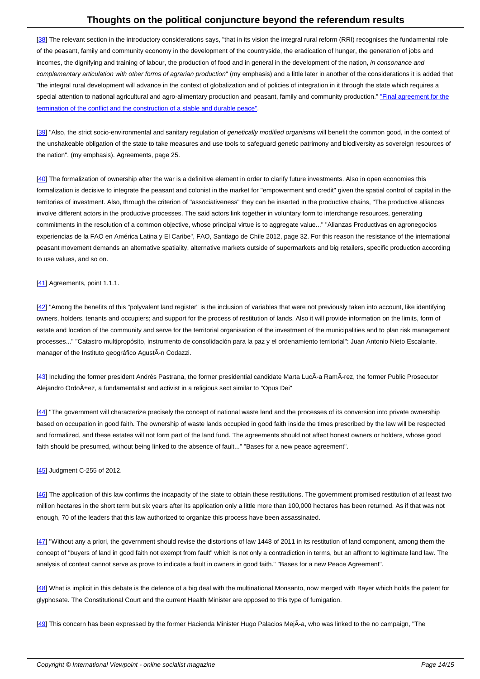[38] The relevant section in the introductory considerations says, "that in its vision the integral rural reform (RRI) recognises the fundamental role of the peasant, family and community economy in the development of the countryside, the eradication of hunger, the generation of jobs and incomes, the dignifying and training of labour, the production of food and in general in the development of the nation, in consonance and complementary articulation with other forms of agrarian production" (my emphasis) and a little later in another of the considerations it is added that ["the](#nh38) integral rural development will advance in the context of globalization and of policies of integration in it through the state which requires a special attention to national agricultural and agro-alimentary production and peasant, family and community production." "Final agreement for the termination of the conflict and the construction of a stable and durable peace".

[39] "Also, the strict socio-environmental and sanitary regulation of genetically modified organisms will benefit the comm[on good, in the context of](http://www.altocomisionadoparalapaz.gov.co/procesos-y-conversaciones/Paginas/Texto-completo-del-Acuerdo-Final-para-la-Terminacion-del-conflicto.aspx) [the unshakeable obligation of the state to take measures and use tools to safe](http://www.altocomisionadoparalapaz.gov.co/procesos-y-conversaciones/Paginas/Texto-completo-del-Acuerdo-Final-para-la-Terminacion-del-conflicto.aspx)guard genetic patrimony and biodiversity as sovereign resources of the nation". (my emphasis). Agreements, page 25.

[[40](#nh39)] The formalization of ownership after the war is a definitive element in order to clarify future investments. Also in open economies this formalization is decisive to integrate the peasant and colonist in the market for "empowerment and credit" given the spatial control of capital in the territories of investment. Also, through the criterion of "associativeness" they can be inserted in the productive chains, "The productive alliances involve different actors in the productive processes. The said actors link together in voluntary form to interchange resources, generating [com](#nh40)mitments in the resolution of a common objective, whose principal virtue is to aggregate value..." "Alianzas Productivas en agronegocios experiencias de la FAO en América Latina y El Caribe", FAO, Santiago de Chile 2012, page 32. For this reason the resistance of the international peasant movement demands an alternative spatiality, alternative markets outside of supermarkets and big retailers, specific production according to use values, and so on.

### [41] Agreements, point 1.1.1.

[42] "Among the benefits of this "polyvalent land register" is the inclusion of variables that were not previously taken into account, like identifying [own](#nh41)ers, holders, tenants and occupiers; and support for the process of restitution of lands. Also it will provide information on the limits, form of estate and location of the community and serve for the territorial organisation of the investment of the municipalities and to plan risk management processes..." "Catastro multipropósito, instrumento de consolidación para la paz y el ordenamiento territorial": Juan Antonio Nieto Escalante, [ma](#nh42)nager of the Instituto geográfico AgustÃ-n Codazzi.

[43] Including the former president Andrés Pastrana, the former presidential candidate Marta LucÃ-a RamÃ-rez, the former Public Prosecutor Alejandro Ordoñez, a fundamentalist and activist in a religious sect similar to "Opus Dei"

[[44](#nh43)] "The government will characterize precisely the concept of national waste land and the processes of its conversion into private ownership based on occupation in good faith. The ownership of waste lands occupied in good faith inside the times prescribed by the law will be respected and formalized, and these estates will not form part of the land fund. The agreements should not affect honest owners or holders, whose good f[ait](#nh44)h should be presumed, without being linked to the absence of fault..." "Bases for a new peace agreement".

### [45] Judgment C-255 of 2012.

[46] The application of this law confirms the incapacity of the state to obtain these restitutions. The government promised restitution of at least two [mill](#nh45)ion hectares in the short term but six years after its application only a little more than 100,000 hectares has been returned. As if that was not enough, 70 of the leaders that this law authorized to organize this process have been assassinated.

[[47](#nh46)] "Without any a priori, the government should revise the distortions of law 1448 of 2011 in its restitution of land component, among them the concept of "buyers of land in good faith not exempt from fault" which is not only a contradiction in terms, but an affront to legitimate land law. The analysis of context cannot serve as prove to indicate a fault in owners in good faith." "Bases for a new Peace Agreement".

[[48](#nh47)] What is implicit in this debate is the defence of a big deal with the multinational Monsanto, now merged with Bayer which holds the patent for glyphosate. The Constitutional Court and the current Health Minister are opposed to this type of fumigation.

[[49](#nh48)] This concern has been expressed by the former Hacienda Minister Hugo Palacios MejÂ-a, who was linked to the no campaign, "The